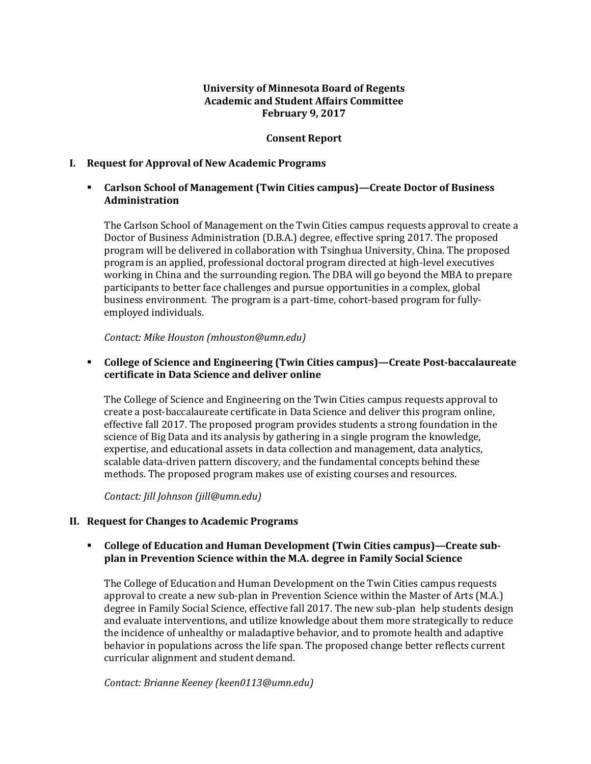### **University of Minnesota Board of Regents Academic and Student Affairs Committee February 9, 2017**

### **Consent Report**

#### **I. Request for Approval of New Academic Programs**

### **Example 3 Carlson School of Management (Twin Cities campus)—Create Doctor of Business Administration**

The Carlson School of Management on the Twin Cities campus requests approval to create a Doctor of Business Administration (D.B.A.) degree, effective spring 2017. The proposed program will be delivered in collaboration with Tsinghua University, China. The proposed program is an applied, professional doctoral program directed at high-level executives working in China and the surrounding region. The DBA will go beyond the MBA to prepare participants to better face challenges and pursue opportunities in a complex, global business environment. The program is a part-time, cohort-based program for fullyemployed individuals.

*Contact: Mike Houston (mhouston@umn.edu)*

### **College of Science and Engineering (Twin Cities campus)ȄCreate Post-baccalaureate certificate in Data Science and deliver online**

The College of Science and Engineering on the Twin Cities campus requests approval to create a post-baccalaureate certificate in Data Science and deliver this program online, effective fall 2017. The proposed program provides students a strong foundation in the science of Big Data and its analysis by gathering in a single program the knowledge, expertise, and educational assets in data collection and management, data analytics, scalable data-driven pattern discovery, and the fundamental concepts behind these methods. The proposed program makes use of existing courses and resources.

*Contact: Jill Johnson (jill@umn.edu)*

#### **II. Request for Changes to Academic Programs**

### **Example 3 College of Education and Human Development (Twin Cities campus)—Create subplan in Prevention Science within the M.A. degree in Family Social Science**

The College of Education and Human Development on the Twin Cities campus requests approval to create a new sub-plan in Prevention Science within the Master of Arts (M.A.) degree in Family Social Science, effective fall 2017. The new sub-plan help students design and evaluate interventions, and utilize knowledge about them more strategically to reduce the incidence of unhealthy or maladaptive behavior, and to promote health and adaptive behavior in populations across the life span. The proposed change better reflects current curricular alignment and student demand.

*Contact: Brianne Keeney (keen0113@umn.edu)*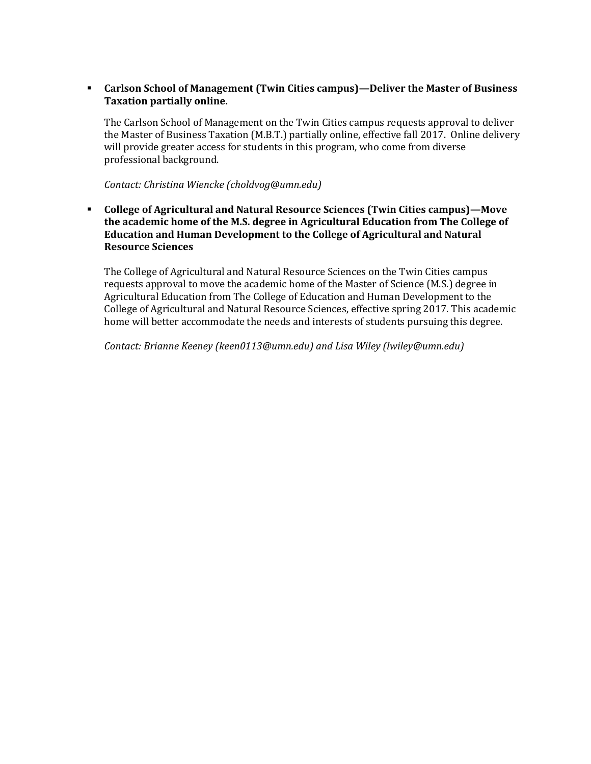# **Example 3 Carlson School of Management (Twin Cities campus)—Deliver the Master of Business Taxation partially online.**

The Carlson School of Management on the Twin Cities campus requests approval to deliver the Master of Business Taxation (M.B.T.) partially online, effective fall 2017. Online delivery will provide greater access for students in this program, who come from diverse professional background.

*Contact: Christina Wiencke (choldvog@umn.edu)*

**F** College of Agricultural and Natural Resource Sciences (Twin Cities campus)—Move **the academic home of the M.S. degree in Agricultural Education from The College of Education and Human Development to the College of Agricultural and Natural Resource Sciences**

The College of Agricultural and Natural Resource Sciences on the Twin Cities campus requests approval to move the academic home of the Master of Science (M.S.) degree in Agricultural Education from The College of Education and Human Development to the College of Agricultural and Natural Resource Sciences, effective spring 2017. This academic home will better accommodate the needs and interests of students pursuing this degree.

*Contact: Brianne Keeney (keen0113@umn.edu) and Lisa Wiley (lwiley@umn.edu)*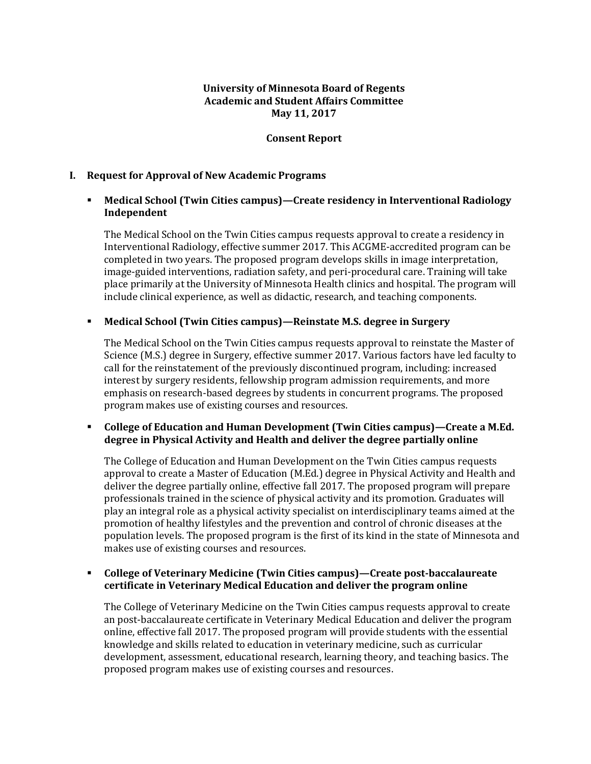### **University of Minnesota Board of Regents Academic and Student Affairs Committee May 11, 2017**

### **Consent Report**

#### **I. Request for Approval of New Academic Programs**

### **EXECTE Medical School (Twin Cities campus)—Create residency in Interventional Radiology Independent**

The Medical School on the Twin Cities campus requests approval to create a residency in Interventional Radiology, effective summer 2017. This ACGME-accredited program can be completed in two years. The proposed program develops skills in image interpretation, image-guided interventions, radiation safety, and peri-procedural care. Training will take place primarily at the University of Minnesota Health clinics and hospital. The program will include clinical experience, as well as didactic, research, and teaching components.

# **Medical School (Twin Cities campus)ȄReinstate M.S. degree in Surgery**

The Medical School on the Twin Cities campus requests approval to reinstate the Master of Science (M.S.) degree in Surgery, effective summer 2017. Various factors have led faculty to call for the reinstatement of the previously discontinued program, including: increased interest by surgery residents, fellowship program admission requirements, and more emphasis on research-based degrees by students in concurrent programs. The proposed program makes use of existing courses and resources.

# **Example 2** College of Education and Human Development (Twin Cities campus)—Create a M.Ed. **degree in Physical Activity and Health and deliver the degree partially online**

The College of Education and Human Development on the Twin Cities campus requests approval to create a Master of Education (M.Ed.) degree in Physical Activity and Health and deliver the degree partially online, effective fall 2017. The proposed program will prepare professionals trained in the science of physical activity and its promotion. Graduates will play an integral role as a physical activity specialist on interdisciplinary teams aimed at the promotion of healthy lifestyles and the prevention and control of chronic diseases at the population levels. The proposed program is the first of its kind in the state of Minnesota and makes use of existing courses and resources.

### **EXECTE:** College of Veterinary Medicine (Twin Cities campus)—Create post-baccalaureate **certificate in Veterinary Medical Education and deliver the program online**

The College of Veterinary Medicine on the Twin Cities campus requests approval to create an post-baccalaureate certificate in Veterinary Medical Education and deliver the program online, effective fall 2017. The proposed program will provide students with the essential knowledge and skills related to education in veterinary medicine, such as curricular development, assessment, educational research, learning theory, and teaching basics. The proposed program makes use of existing courses and resources.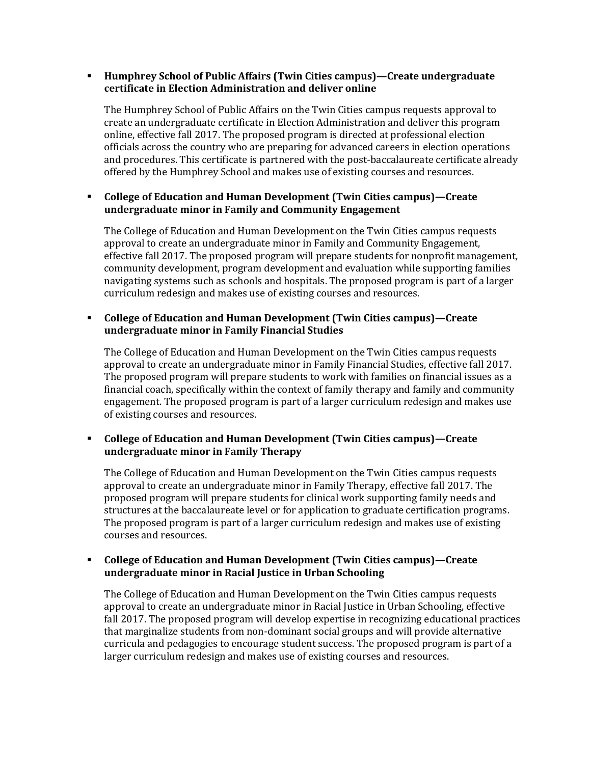### **Humphrey School of Public Affairs (Twin Cities campus)—Create undergraduate certificate in Election Administration and deliver online**

The Humphrey School of Public Affairs on the Twin Cities campus requests approval to create an undergraduate certificate in Election Administration and deliver this program online, effective fall 2017. The proposed program is directed at professional election officials across the country who are preparing for advanced careers in election operations and procedures. This certificate is partnered with the post-baccalaureate certificate already offered by the Humphrey School and makes use of existing courses and resources.

# **Example 2** College of Education and Human Development (Twin Cities campus)—Create **undergraduate minor in Family and Community Engagement**

The College of Education and Human Development on the Twin Cities campus requests approval to create an undergraduate minor in Family and Community Engagement, effective fall 2017. The proposed program will prepare students for nonprofit management, community development, program development and evaluation while supporting families navigating systems such as schools and hospitals. The proposed program is part of a larger curriculum redesign and makes use of existing courses and resources.

# **F** College of Education and Human Development (Twin Cities campus)—Create **undergraduate minor in Family Financial Studies**

The College of Education and Human Development on the Twin Cities campus requests approval to create an undergraduate minor in Family Financial Studies, effective fall 2017. The proposed program will prepare students to work with families on financial issues as a financial coach, specifically within the context of family therapy and family and community engagement. The proposed program is part of a larger curriculum redesign and makes use of existing courses and resources.

# **F** College of Education and Human Development (Twin Cities campus)—Create **undergraduate minor in Family Therapy**

The College of Education and Human Development on the Twin Cities campus requests approval to create an undergraduate minor in Family Therapy, effective fall 2017. The proposed program will prepare students for clinical work supporting family needs and structures at the baccalaureate level or for application to graduate certification programs. The proposed program is part of a larger curriculum redesign and makes use of existing courses and resources.

# **Example 3 College of Education and Human Development (Twin Cities campus)—Create undergraduate minor in Racial Justice in Urban Schooling**

The College of Education and Human Development on the Twin Cities campus requests approval to create an undergraduate minor in Racial Justice in Urban Schooling, effective fall 2017. The proposed program will develop expertise in recognizing educational practices that marginalize students from non-dominant social groups and will provide alternative curricula and pedagogies to encourage student success. The proposed program is part of a larger curriculum redesign and makes use of existing courses and resources.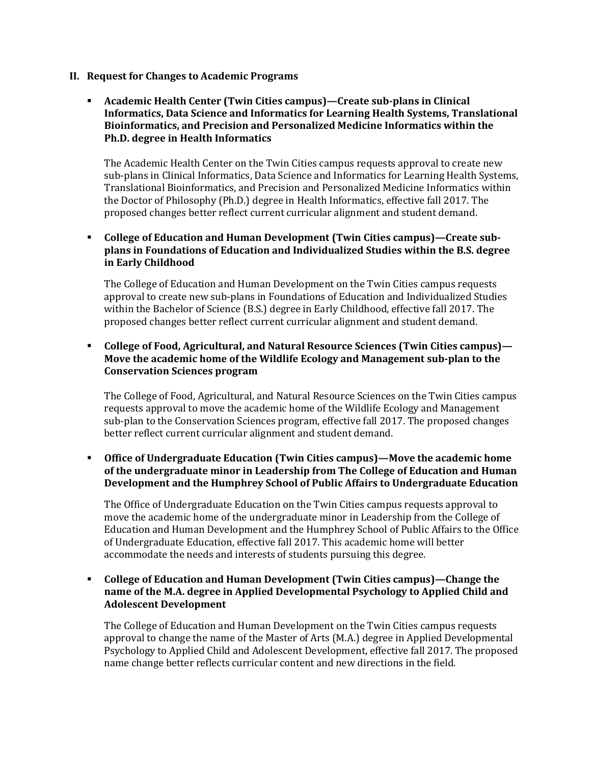- **II. Request for Changes to Academic Programs**
	- **Academic Health Center (Twin Cities campus)ȄCreate sub-plans in Clinical Informatics, Data Science and Informatics for Learning Health Systems, Translational Bioinformatics, and Precision and Personalized Medicine Informatics within the Ph.D. degree in Health Informatics**

The Academic Health Center on the Twin Cities campus requests approval to create new sub-plans in Clinical Informatics, Data Science and Informatics for Learning Health Systems, Translational Bioinformatics, and Precision and Personalized Medicine Informatics within the Doctor of Philosophy (Ph.D.) degree in Health Informatics, effective fall 2017. The proposed changes better reflect current curricular alignment and student demand.

**Example 3** College of Education and Human Development (Twin Cities campus)—Create sub**plans in Foundations of Education and Individualized Studies within the B.S. degree in Early Childhood**

The College of Education and Human Development on the Twin Cities campus requests approval to create new sub-plans in Foundations of Education and Individualized Studies within the Bachelor of Science (B.S.) degree in Early Childhood, effective fall 2017. The proposed changes better reflect current curricular alignment and student demand.

# **F** College of Food, Agricultural, and Natural Resource Sciences (Twin Cities campus)— **Move the academic home of the Wildlife Ecology and Management sub-plan to the Conservation Sciences program**

The College of Food, Agricultural, and Natural Resource Sciences on the Twin Cities campus requests approval to move the academic home of the Wildlife Ecology and Management sub-plan to the Conservation Sciences program, effective fall 2017. The proposed changes better reflect current curricular alignment and student demand.

**EXECUTE:** Office of Undergraduate Education (Twin Cities campus)—Move the academic home **of the undergraduate minor in Leadership from The College of Education and Human Development and the Humphrey School of Public Affairs to Undergraduate Education**

The Office of Undergraduate Education on the Twin Cities campus requests approval to move the academic home of the undergraduate minor in Leadership from the College of Education and Human Development and the Humphrey School of Public Affairs to the Office of Undergraduate Education, effective fall 2017. This academic home will better accommodate the needs and interests of students pursuing this degree.

### **F** College of Education and Human Development (Twin Cities campus)—Change the **name of the M.A. degree in Applied Developmental Psychology to Applied Child and Adolescent Development**

The College of Education and Human Development on the Twin Cities campus requests approval to change the name of the Master of Arts (M.A.) degree in Applied Developmental Psychology to Applied Child and Adolescent Development, effective fall 2017. The proposed name change better reflects curricular content and new directions in the field.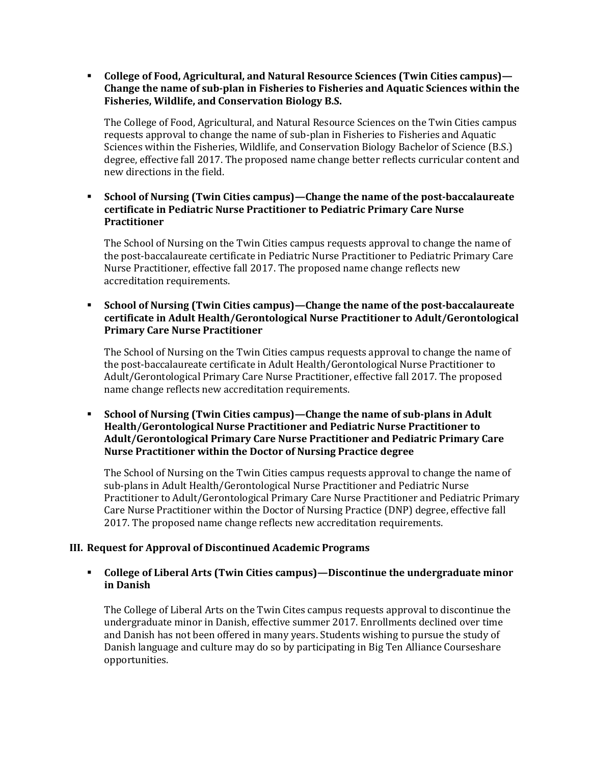**Example 2** College of Food, Agricultural, and Natural Resource Sciences (Twin Cities campus)— **Change the name of sub-plan in Fisheries to Fisheries and Aquatic Sciences within the Fisheries, Wildlife, and Conservation Biology B.S.**

The College of Food, Agricultural, and Natural Resource Sciences on the Twin Cities campus requests approval to change the name of sub-plan in Fisheries to Fisheries and Aquatic Sciences within the Fisheries, Wildlife, and Conservation Biology Bachelor of Science (B.S.) degree, effective fall 2017. The proposed name change better reflects curricular content and new directions in the field.

**School of Nursing (Twin Cities campus)—Change the name of the post-baccalaureate certificate in Pediatric Nurse Practitioner to Pediatric Primary Care Nurse Practitioner**

The School of Nursing on the Twin Cities campus requests approval to change the name of the post-baccalaureate certificate in Pediatric Nurse Practitioner to Pediatric Primary Care Nurse Practitioner, effective fall 2017. The proposed name change reflects new accreditation requirements.

**School of Nursing (Twin Cities campus)—Change the name of the post-baccalaureate certificate in Adult Health/Gerontological Nurse Practitioner to Adult/Gerontological Primary Care Nurse Practitioner**

The School of Nursing on the Twin Cities campus requests approval to change the name of the post-baccalaureate certificate in Adult Health/Gerontological Nurse Practitioner to Adult/Gerontological Primary Care Nurse Practitioner, effective fall 2017. The proposed name change reflects new accreditation requirements.

**school of Nursing (Twin Cities campus)—Change the name of sub-plans in Adult Health/Gerontological Nurse Practitioner and Pediatric Nurse Practitioner to Adult/Gerontological Primary Care Nurse Practitioner and Pediatric Primary Care Nurse Practitioner within the Doctor of Nursing Practice degree**

The School of Nursing on the Twin Cities campus requests approval to change the name of sub-plans in Adult Health/Gerontological Nurse Practitioner and Pediatric Nurse Practitioner to Adult/Gerontological Primary Care Nurse Practitioner and Pediatric Primary Care Nurse Practitioner within the Doctor of Nursing Practice (DNP) degree, effective fall 2017. The proposed name change reflects new accreditation requirements.

# **III. Request for Approval of Discontinued Academic Programs**

### **EXECTE:** College of Liberal Arts (Twin Cities campus)—Discontinue the undergraduate minor **in Danish**

The College of Liberal Arts on the Twin Cites campus requests approval to discontinue the undergraduate minor in Danish, effective summer 2017. Enrollments declined over time and Danish has not been offered in many years. Students wishing to pursue the study of Danish language and culture may do so by participating in Big Ten Alliance Courseshare opportunities.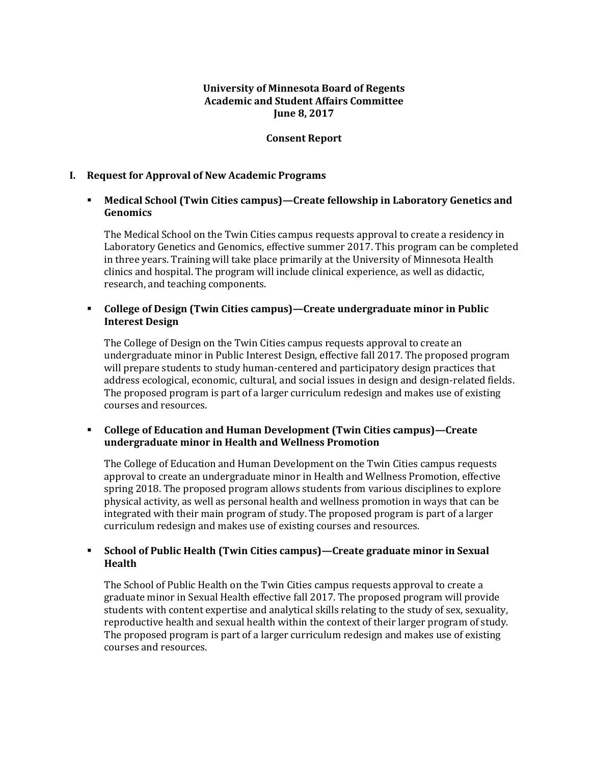### **University of Minnesota Board of Regents Academic and Student Affairs Committee June 8, 2017**

### **Consent Report**

#### **I. Request for Approval of New Academic Programs**

### **EXECUTE:** Medical School (Twin Cities campus)—Create fellowship in Laboratory Genetics and **Genomics**

The Medical School on the Twin Cities campus requests approval to create a residency in Laboratory Genetics and Genomics, effective summer 2017. This program can be completed in three years. Training will take place primarily at the University of Minnesota Health clinics and hospital. The program will include clinical experience, as well as didactic, research, and teaching components.

### **College of Design (Twin Cities campus)ȄCreate undergraduate minor in Public Interest Design**

The College of Design on the Twin Cities campus requests approval to create an undergraduate minor in Public Interest Design, effective fall 2017. The proposed program will prepare students to study human-centered and participatory design practices that address ecological, economic, cultural, and social issues in design and design-related fields. The proposed program is part of a larger curriculum redesign and makes use of existing courses and resources.

#### **Example 2** College of Education and Human Development (Twin Cities campus)—Create **undergraduate minor in Health and Wellness Promotion**

The College of Education and Human Development on the Twin Cities campus requests approval to create an undergraduate minor in Health and Wellness Promotion, effective spring 2018. The proposed program allows students from various disciplines to explore physical activity, as well as personal health and wellness promotion in ways that can be integrated with their main program of study. The proposed program is part of a larger curriculum redesign and makes use of existing courses and resources.

# **School of Public Health (Twin Cities campus)—Create graduate minor in Sexual <b>random Health**

The School of Public Health on the Twin Cities campus requests approval to create a graduate minor in Sexual Health effective fall 2017. The proposed program will provide students with content expertise and analytical skills relating to the study of sex, sexuality, reproductive health and sexual health within the context of their larger program of study. The proposed program is part of a larger curriculum redesign and makes use of existing courses and resources.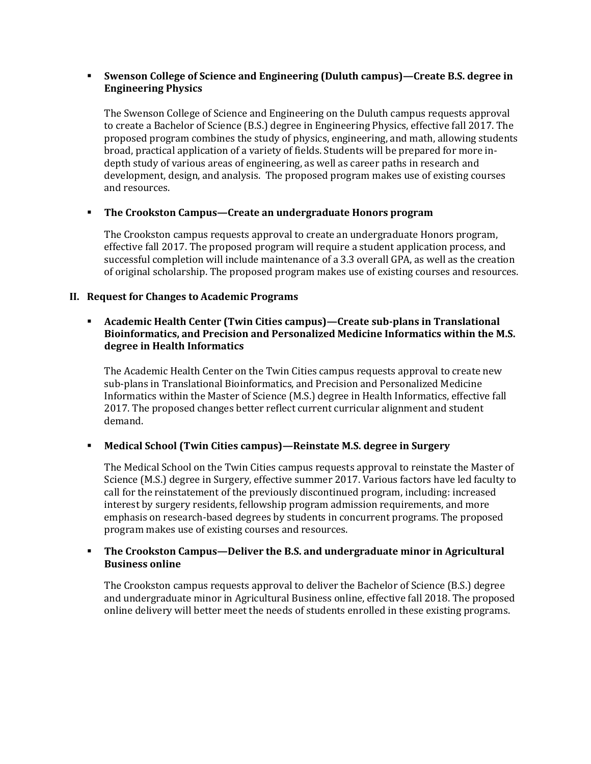### **Swenson College of Science and Engineering (Duluth campus)—Create B.S. degree in Engineering Physics**

The Swenson College of Science and Engineering on the Duluth campus requests approval to create a Bachelor of Science (B.S.) degree in Engineering Physics, effective fall 2017. The proposed program combines the study of physics, engineering, and math, allowing students broad, practical application of a variety of fields. Students will be prepared for more indepth study of various areas of engineering, as well as career paths in research and development, design, and analysis. The proposed program makes use of existing courses and resources.

# **The Crookston Campus—Create an undergraduate Honors program**

The Crookston campus requests approval to create an undergraduate Honors program, effective fall 2017. The proposed program will require a student application process, and successful completion will include maintenance of a 3.3 overall GPA, as well as the creation of original scholarship. The proposed program makes use of existing courses and resources.

# **II. Request for Changes to Academic Programs**

# **Academic Health Center (Twin Cities campus)—Create sub-plans in Translational <b>b Bioinformatics, and Precision and Personalized Medicine Informatics within the M.S. degree in Health Informatics**

The Academic Health Center on the Twin Cities campus requests approval to create new sub-plans in Translational Bioinformatics, and Precision and Personalized Medicine Informatics within the Master of Science (M.S.) degree in Health Informatics, effective fall 2017. The proposed changes better reflect current curricular alignment and student demand.

# **EXECUTE:** Medical School (Twin Cities campus)—Reinstate M.S. degree in Surgery

The Medical School on the Twin Cities campus requests approval to reinstate the Master of Science (M.S.) degree in Surgery, effective summer 2017. Various factors have led faculty to call for the reinstatement of the previously discontinued program, including: increased interest by surgery residents, fellowship program admission requirements, and more emphasis on research-based degrees by students in concurrent programs. The proposed program makes use of existing courses and resources.

# **The Crookston Campus—Deliver the B.S. and undergraduate minor in Agricultural Business online**

The Crookston campus requests approval to deliver the Bachelor of Science (B.S.) degree and undergraduate minor in Agricultural Business online, effective fall 2018. The proposed online delivery will better meet the needs of students enrolled in these existing programs.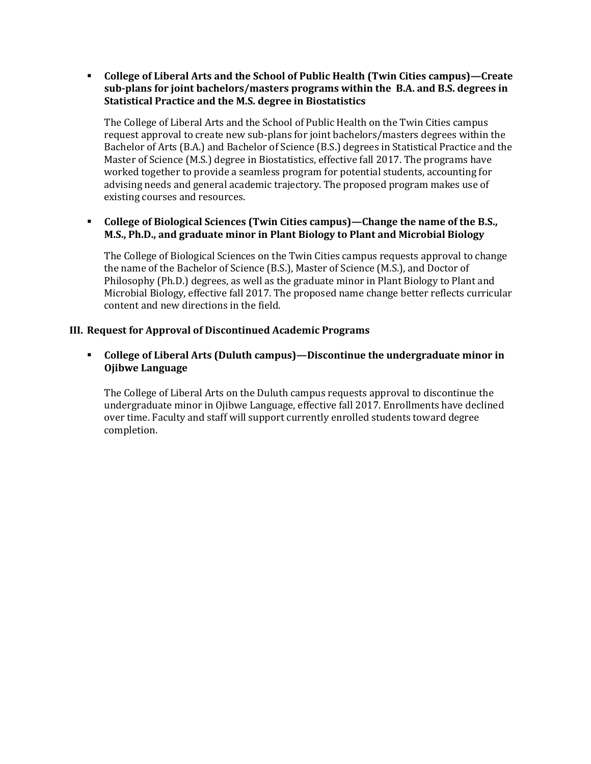**Example 3 College of Liberal Arts and the School of Public Health (Twin Cities campus)—Create sub-plans for joint bachelors/masters programs within the B.A. and B.S. degrees in Statistical Practice and the M.S. degree in Biostatistics**

The College of Liberal Arts and the School of Public Health on the Twin Cities campus request approval to create new sub-plans for joint bachelors/masters degrees within the Bachelor of Arts (B.A.) and Bachelor of Science (B.S.) degrees in Statistical Practice and the Master of Science (M.S.) degree in Biostatistics, effective fall 2017. The programs have worked together to provide a seamless program for potential students, accounting for advising needs and general academic trajectory. The proposed program makes use of existing courses and resources.

### **Example 2 College of Biological Sciences (Twin Cities campus)—Change the name of the B.S., M.S., Ph.D., and graduate minor in Plant Biology to Plant and Microbial Biology**

The College of Biological Sciences on the Twin Cities campus requests approval to change the name of the Bachelor of Science (B.S.), Master of Science (M.S.), and Doctor of Philosophy (Ph.D.) degrees, as well as the graduate minor in Plant Biology to Plant and Microbial Biology, effective fall 2017. The proposed name change better reflects curricular content and new directions in the field.

# **III. Request for Approval of Discontinued Academic Programs**

# **EXECTE:** College of Liberal Arts (Duluth campus)—Discontinue the undergraduate minor in **Ojibwe Language**

The College of Liberal Arts on the Duluth campus requests approval to discontinue the undergraduate minor in Ojibwe Language, effective fall 2017. Enrollments have declined over time. Faculty and staff will support currently enrolled students toward degree completion.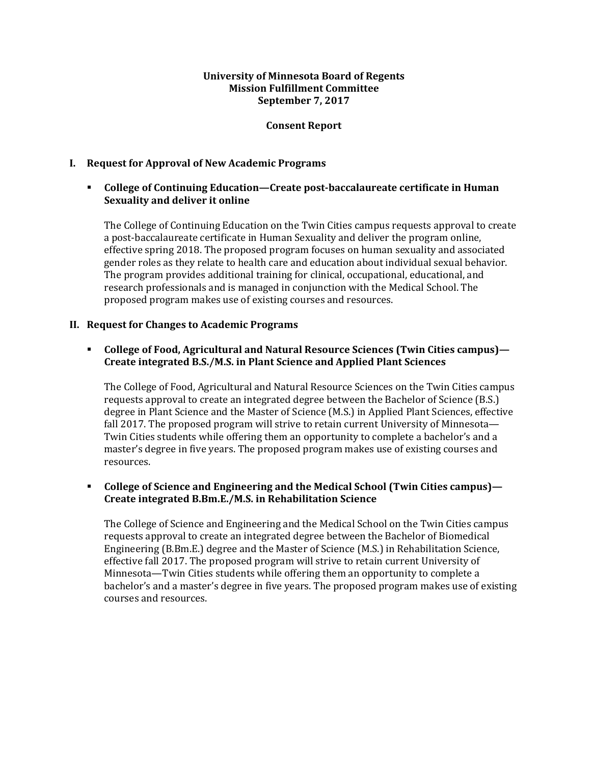#### **University of Minnesota Board of Regents Mission Fulfillment Committee September 7, 2017**

#### **Consent Report**

### **I. Request for Approval of New Academic Programs**

### **College of Continuing Education—Create postǦbaccalaureate certificate in Human Sexuality and deliver it online**

The College of Continuing Education on the Twin Cities campus requests approval to create a post-baccalaureate certificate in Human Sexuality and deliver the program online, effective spring 2018. The proposed program focuses on human sexuality and associated gender roles as they relate to health care and education about individual sexual behavior. The program provides additional training for clinical, occupational, educational, and research professionals and is managed in conjunction with the Medical School. The proposed program makes use of existing courses and resources.

#### **II. Request for Changes to Academic Programs**

### **College of Food, Agricultural and Natural Resource Sciences (Twin Cities campus)— Create integrated B.S./M.S. in Plant Science and Applied Plant Sciences**

The College of Food, Agricultural and Natural Resource Sciences on the Twin Cities campus requests approval to create an integrated degree between the Bachelor of Science (B.S.) degree in Plant Science and the Master of Science (M.S.) in Applied Plant Sciences, effective fall 2017. The proposed program will strive to retain current University of Minnesota-Twin Cities students while offering them an opportunity to complete a bachelor's and a master's degree in five years. The proposed program makes use of existing courses and resources.

### **College of Science and Engineering and the Medical School (Twin Cities campus)— Create integrated B.Bm.E./M.S. in Rehabilitation Science**

The College of Science and Engineering and the Medical School on the Twin Cities campus requests approval to create an integrated degree between the Bachelor of Biomedical Engineering (B.Bm.E.) degree and the Master of Science (M.S.) in Rehabilitation Science, effective fall 2017. The proposed program will strive to retain current University of Minnesota—Twin Cities students while offering them an opportunity to complete a bachelor's and a master's degree in five years. The proposed program makes use of existing courses and resources.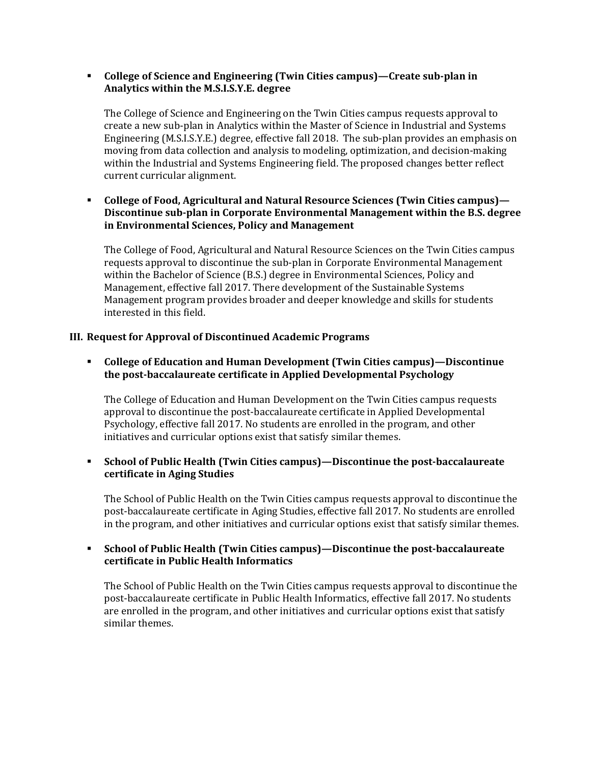### **College of Science and Engineering (Twin Cities campus)—Create subǦplan in Analytics within the M.S.I.S.Y.E. degree**

The College of Science and Engineering on the Twin Cities campus requests approval to create a new sub-plan in Analytics within the Master of Science in Industrial and Systems Engineering (M.S.I.S.Y.E.) degree, effective fall 2018. The sub-plan provides an emphasis on moving from data collection and analysis to modeling, optimization, and decision-making within the Industrial and Systems Engineering field. The proposed changes better reflect current curricular alignment.

# **College of Food, Agricultural and Natural Resource Sciences (Twin Cities campus)— Discontinue subǦplan in Corporate Environmental Management within the B.S. degree in Environmental Sciences, Policy and Management**

The College of Food, Agricultural and Natural Resource Sciences on the Twin Cities campus requests approval to discontinue the sub-plan in Corporate Environmental Management within the Bachelor of Science (B.S.) degree in Environmental Sciences, Policy and Management, effective fall 2017. There development of the Sustainable Systems Management program provides broader and deeper knowledge and skills for students interested in this field.

# **III. Request for Approval of Discontinued Academic Programs**

 **College of Education and Human Development (Twin Cities campus)—Discontinue the postǦbaccalaureate certificate in Applied Developmental Psychology**

The College of Education and Human Development on the Twin Cities campus requests approval to discontinue the post-baccalaureate certificate in Applied Developmental Psychology, effective fall 2017. No students are enrolled in the program, and other initiatives and curricular options exist that satisfy similar themes.

### **School of Public Health (Twin Cities campus)—Discontinue the postǦbaccalaureate certificate in Aging Studies**

The School of Public Health on the Twin Cities campus requests approval to discontinue the post-baccalaureate certificate in Aging Studies, effective fall 2017. No students are enrolled in the program, and other initiatives and curricular options exist that satisfy similar themes.

### **School of Public Health (Twin Cities campus)—Discontinue the postǦbaccalaureate certificate in Public Health Informatics**

The School of Public Health on the Twin Cities campus requests approval to discontinue the post-baccalaureate certificate in Public Health Informatics, effective fall 2017. No students are enrolled in the program, and other initiatives and curricular options exist that satisfy similar themes.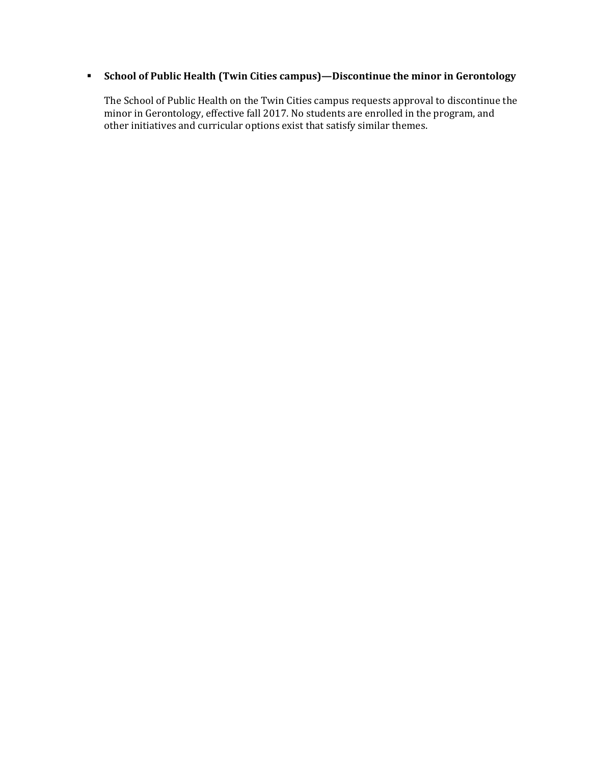# **School of Public Health (Twin Cities campus)—Discontinue the minor in Gerontology**

The School of Public Health on the Twin Cities campus requests approval to discontinue the minor in Gerontology, effective fall 2017. No students are enrolled in the program, and other initiatives and curricular options exist that satisfy similar themes.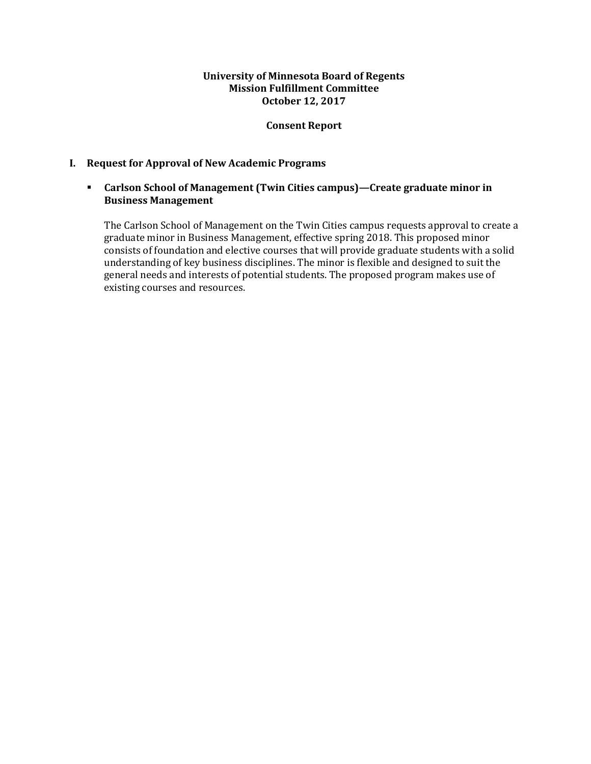### **University of Minnesota Board of Regents Mission Fulfillment Committee October 12, 2017**

### **Consent Report**

### **I. Request for Approval of New Academic Programs**

### **Carlson School of Management (Twin Cities campus)—Create graduate minor in Business Management**

The Carlson School of Management on the Twin Cities campus requests approval to create a graduate minor in Business Management, effective spring 2018. This proposed minor consists of foundation and elective courses that will provide graduate students with a solid understanding of key business disciplines. The minor is flexible and designed to suit the general needs and interests of potential students. The proposed program makes use of existing courses and resources.